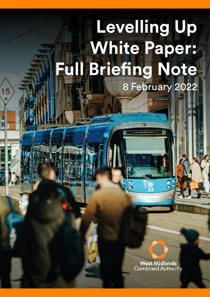# **Levelling Up White Paper: Full Briefing Note** 8 February 2022

5

**West Midlands Combined Authority**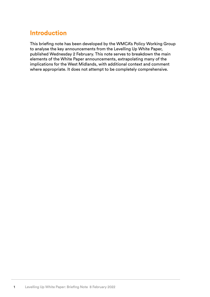## **Introduction**

This briefing note has been developed by the WMCA's Policy Working Group to analyse the key announcements from the Levelling Up White Paper, published Wednesday 2 February. This note serves to breakdown the main elements of the White Paper announcements, extrapolating many of the implications for the West Midlands, with additional context and comment where appropriate. It does not attempt to be completely comprehensive.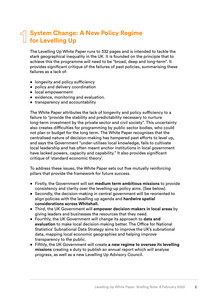#### **System Change: A New Policy Regime for Levelling Up 1**

The Levelling Up White Paper runs to 332 pages and is intended to tackle the stark geographical inequality in the UK. It is founded on the principle that to achieve this the programme will need to be "broad, deep and long-term". It provides significant critique of the failures of past policies, summarising these failures as a lack of:

- longevity and policy sufficiency
- policy and delivery coordination
- local empowerment
- evidence, monitoring and evaluation.
- transparency and accountability

The White Paper attributes the lack of longevity and policy sufficiency to a failure to "provide the stability and predictability necessary to nurture long-term investment by the private sector and civil society". This uncertainty also creates difficulties for programming by public sector bodies, who could not plan or budget for the long term. The White Paper recognises that the centralised nature of decision-making has hampered past efforts to level up, and says the Government "under-utilises local knowledge, fails to cultivate local leadership and has often meant anchor institutions in local government have lacked powers, capacity and capability." It also provides significant critique of 'standard economic theory'.

To address these issues, the White Paper sets out five mutually reinforcing pillars that provide the framework for future success.

- Firstly, the Government will set **medium term ambitious missions** to provide consistency and clarity over the levelling-up policy aims. (See below).
- Secondly, the decision-making in central government will be reoriented to align policies with the levelling up agenda and **hardwire spatial considerations across Whitehall.**
- Third, the UK Government will **empower decision-makers in local areas** by giving leaders and businesses the resources that they need.
- Fourthly, the UK Government will change its approach to **data and evaluation** to make local decision-making better. The Office for National Statistics' Subnational Data Strategy aims to improve the UK's subnational data, mapping local economic geographies and helping improve transparency to the public.
- Fifthly, the UK Government will create **a new regime to oversee its levelling missions** creating a duty to publish an annual report which will analyse progress, as well as a new Levelling Up Advisory Council.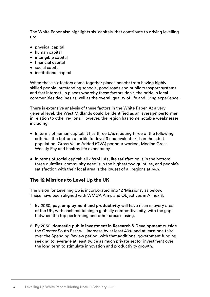The White Paper also highlights six 'capitals' that contribute to driving levelling up:

- physical capital
- human capital
- intangible capital
- financial capital
- social capital
- institutional capital

When these six factors come together places benefit from having highly skilled people, outstanding schools, good roads and public transport systems, and fast internet. In places whereby these factors don't, the pride in local communities declines as well as the overall quality of life and living experience.

There is extensive analysis of these factors in the White Paper. At a very general level, the West Midlands could be identified as an 'average' performer in relation to other regions. However, the region has some notable weaknesses including:

- In terms of human capital: it has three LAs meeting three of the following criteria - the bottom quartile for level 3+ equivalent skills in the adult population, Gross Value Added (GVA) per hour worked, Median Gross Weekly Pay and healthy life expectancy.
- In terms of social capital: all 7 WM LAs, life satisfaction is in the bottom three quintiles, community need is in the highest two quintiles, and people's satisfaction with their local area is the lowest of all regions at 74%.

#### **The 12 Missions to Level Up the UK**

The vision for Levelling Up is incorporated into 12 'Missions', as below. These have been aligned with WMCA Aims and Objectives in Annex 3.

- 1. By 2030, **pay, employment and productivity** will have risen in every area of the UK, with each containing a globally competitive city, with the gap between the top performing and other areas closing.
- 2. By 2030, **domestic public investment in Research & Development** outside the Greater South East will increase by at least 40% and at least one third over the Spending Review period, with that additional government funding seeking to leverage at least twice as much private sector investment over the long term to stimulate innovation and productivity growth.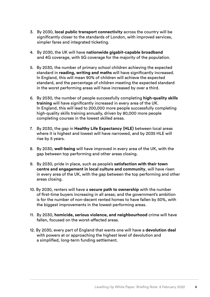- 3. By 2030, **local public transport connectivity** across the country will be significantly closer to the standards of London, with improved services, simpler fares and integrated ticketing.
- 4. By 2030, the UK will have **nationwide gigabit-capable broadband** and 4G coverage, with 5G coverage for the majority of the population.
- 5. By 2030, the number of primary school children achieving the expected standard in **reading, writing and maths** will have significantly increased. In England, this will mean 90% of children will achieve the expected standard, and the percentage of children meeting the expected standard in the worst performing areas will have increased by over a third.
- 6. By 2030, the number of people successfully completing **high-quality skills training** will have significantly increased in every area of the UK. In England, this will lead to 200,000 more people successfully completing high-quality skills training annually, driven by 80,000 more people completing courses in the lowest skilled areas.
- 7. By 2030, the gap in **Healthy Life Expectancy (HLE)** between local areas where it is highest and lowest will have narrowed, and by 2035 HLE will rise by 5 years.
- 8. By 2030, **well-being** will have improved in every area of the UK, with the gap between top performing and other areas closing.
- 9. By 2030, pride in place, such as people's **satisfaction with their town centre and engagement in local culture and community**, will have risen in every area of the UK, with the gap between the top performing and other areas closing.
- 10. By 2030, renters will have a **secure path to ownership** with the number of first-time buyers increasing in all areas; and the government's ambition is for the number of non-decent rented homes to have fallen by 50%, with the biggest improvements in the lowest performing areas.
- 11. By 2030, **homicide, serious violence, and neighbourhood** crime will have fallen, focused on the worst-affected areas.
- 12. By 2030, every part of England that wants one will have a **devolution deal** with powers at or approaching the highest level of devolution and a simplified, long-term funding settlement.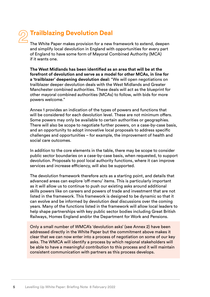# **2**

# **Trailblazing Devolution Deal**

The White Paper makes provision for a new framework to extend, deepen and simplify local devolution in England with opportunities for every part of England to have some form of Mayoral Combined Authority (MCA) if it wants one.

**The West Midlands has been identified as an area that will be at the forefront of devolution and serve as a model for other MCAs, in line for a 'trailblazer' deepening devolution deal:** "We will open negotiations on trailblazer deeper devolution deals with the West Midlands and Greater Manchester combined authorities. These deals will act as the blueprint for other mayoral combined authorities (MCAs) to follow, with bids for more powers welcome."

Annex 1 provides an indication of the types of powers and functions that will be considered for each devolution level. These are not minimum offers. Some powers may only be available to certain authorities or geographies. There will also be scope to negotiate further powers, on a case-by-case basis, and an opportunity to adopt innovative local proposals to address specific challenges and opportunities – for example, the improvement of health and social care outcomes.

In addition to the core elements in the table, there may be scope to consider public sector boundaries on a case-by-case basis, when requested, to support devolution. Proposals to pool local authority functions, where it can improve services and increase efficiency, will also be supported.

The devolution framework therefore acts as a starting point, and details that advanced areas can explore 'off-menu' items. This is particularly important as it will allow us to continue to push our existing asks around additional skills powers like on careers and powers of trade and investment that are not listed in the framework. This framework is designed to be dynamic so that it can evolve and be informed by devolution deal discussions over the coming years. Many of the functions listed in the framework will allow local leaders to help shape partnerships with key public sector bodies including Great British Railways, Homes England and/or the Department for Work and Pensions.

Only a small number of WMCA's 'devolution asks' (see Annex 2) have been addressed directly in the White Paper but the commitment above makes it clear that we can now enter into a process of negotiation on some of our key asks. The WMCA will identify a process by which regional stakeholders will be able to have a meaningful contribution to this process and it will maintain consistent communication with partners as this process develops.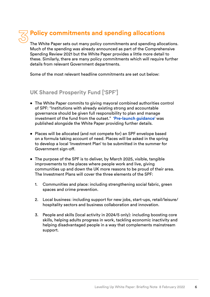# **Policy commitments and spending allocations 3**

The White Paper sets out many policy commitments and spending allocations. Much of the spending was already announced as part of the Comprehensive Spending Review 2021 but the White Paper provides a little more detail to these. Similarly, there are many policy commitments which will require further details from relevant Government departments.

Some of the most relevant headline commitments are set out below:

## **UK Shared Prosperity Fund ['SPF']**

- The White Paper commits to giving mayoral combined authorities control of SPF: "Institutions with already existing strong and accountable governance should be given full responsibility to plan and manage investment of the fund from the outset." **['Pre-launch guidance'](https://www.gov.uk/government/publications/uk-shared-prosperity-fund-pre-launch-guidance/uk-shared-prosperity-fund-pre-launch-guidance)** was published alongside the White Paper providing further details.
- Places will be allocated (and not compete for) an SPF envelope based on a formula taking account of need. Places will be asked in the spring to develop a local 'Investment Plan' to be submitted in the summer for Government sign-off.
- The purpose of the SPF is to deliver, by March 2025, visible, tangible improvements to the places where people work and live, giving communities up and down the UK more reasons to be proud of their area. The Investment Plans will cover the three elements of the SPF:
	- 1. Communities and place: including strengthening social fabric, green spaces and crime prevention.
	- 2. Local business: including support for new jobs, start-ups, retail/leisure/ hospitality sectors and business collaboration and innovation.
	- 3. People and skills (local activity in 2024/5 only): including boosting core skills, helping adults progress in work, tackling economic inactivity and helping disadvantaged people in a way that complements mainstream support.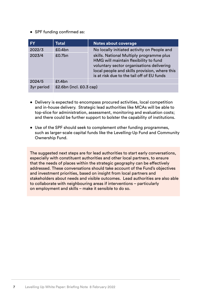• SPF funding confirmed as:

| <b>FY</b>         | <b>Total</b>            | Notes about coverage                                                                                                                                                                                                          |
|-------------------|-------------------------|-------------------------------------------------------------------------------------------------------------------------------------------------------------------------------------------------------------------------------|
| 2022/3            | £0.4bn                  | No locally initiated activity on People and                                                                                                                                                                                   |
| 2023/4            | £0.7bn                  | skills. National Multiply programme plus<br>HMG will maintain flexibility to fund<br>voluntary sector organisations delivering<br>local people and skills provision, where this<br>is at risk due to the tail off of EU funds |
| 2024/5            | £1.4bn                  |                                                                                                                                                                                                                               |
| <b>3yr period</b> | £2.6bn (incl. £0.3 cap) |                                                                                                                                                                                                                               |

- Delivery is expected to encompass procured activities, local competition and in-house delivery. Strategic lead authorities like MCAs will be able to top-slice for administration, assessment, monitoring and evaluation costs; and there could be further support to bolster the capability of institutions.
- Use of the SPF should seek to complement other funding programmes, such as larger-scale capital funds like the Levelling-Up Fund and Community Ownership Fund.

The suggested next steps are for lead authorities to start early conversations, especially with constituent authorities and other local partners, to ensure that the needs of places within the strategic geography can be effectively addressed. These conversations should take account of the Fund's objectives and investment priorities, based on insight from local partners and stakeholders about needs and visible outcomes. Lead authorities are also able to collaborate with neighbouring areas if interventions – particularly on employment and skills – make it sensible to do so.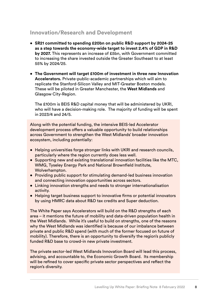## **Innovation/Research and Development**

- **SR21 committed to spending £20bn on public R&D support by 2024-25 as a step towards the economy-wide target to invest 2.4% of GDP in R&D by 2027.** This represents an increase of £5bn, with Government committed to increasing the share invested outside the Greater Southeast to at least 55% by 2024/25.
- **The Government will target £100m of investment in three new Innovation Accelerators.** Private-public-academic partnerships which will aim to replicate the Stanford-Silicon Valley and MIT-Greater Boston models. These will be piloted in Greater Manchester, the **West Midlands** and Glasgow City-Region.

The £100m is BEIS R&D capital money that will be administered by UKRI, who will have a decision-making role. The majority of funding will be spent in 2023/4 and 24/5.

Along with the potential funding, the intensive BEIS-led Accelerator development process offers a valuable opportunity to build relationships across Government to strengthen the West Midlands' broader innovation ecosystem, including potentially:

- Helping universities forge stronger links with UKRI and research councils, particularly where the region currently does less well.
- Supporting new and existing translational innovation facilities like the MTC, WMG, Tyseley Energy Park and National Brownfield Institute, Wolverhampton.
- Providing public support for stimulating demand-led business innovation and connecting innovation opportunities across sectors.
- Linking innovation strengths and needs to stronger internationalisation activity.
- Helping target business support to innovative firms or potential innovators by using HMRC data about R&D tax credits and Super deduction.

The White Paper says Accelerators will build on the R&D strengths of each area – it mentions the future of mobility and data-driven population health in the West Midlands. While it's useful to build on strengths, one of the reasons why the West Midlands was identified is because of our imbalance between private and public R&D spend (with much of the former focused on future of mobility). Therefore, there is an opportunity to diversify the region's publicly funded R&D base to crowd-in new private investment.

The private sector-led West Midlands Innovation Board will lead this process, advising, and accountable to, the Economic Growth Board. Its membership will be refined to cover specific private sector perspectives and reflect the region's diversity.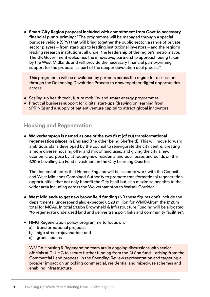• **Smart City Region proposal included with commitment from Govt to necessary financial pump-priming:** "The programme will be managed through a special purpose vehicle (SPV) that will bring together the public sector, a range of private sector players – from start-ups to leading institutional investors – and the region's leading research institutions, all under the leadership of the region's metro mayor. The UK Government welcomes the innovative, partnership approach being taken by the West Midlands and will provide the necessary financial pump-priming support for the proposal as part of the deeper devolution deal process".

This programme will be developed by partners across the region for discussion through the Deepening Devolution Process to draw together digital opportunities across:

- Scaling-up health tech, future mobility and smart energy programmes.
- Practical business support for digital start-ups (drawing on learning from 5PRING) and a supply of patient venture capital to attract global innovators.

### **Housing and Regeneration**

• **Wolverhampton is named as one of the two first (of 20) transformational regeneration places in England** (the other being Sheffield). This will move forward ambitious plans developed by the council to reinvigorate the city centre, creating a more diverse housing offer and mix of land uses, and giving the city a new economic purpose by attracting new residents and businesses and builds on the £20m Levelling Up Fund investment in the City Learning Quarter.

The document notes that Homes England will be asked to work with the Council and West Midlands Combined Authority to promote transformational regeneration opportunities that not only benefit the City itself but also maximise benefits to the wider area including across the Wolverhampton to Walsall Corridor.

- **West Midlands to get new brownfield funding** (NB these figures don't include the departmental underspend also expected). £28 million for WMCAfrom the £120m total for MCAs. In total £1.8bn Brownfield & Infrastructure Funding will be allocated "to regenerate underused land and deliver transport links and community facilities".
- HMG Regeneration policy programme to focus on:
	- a) transformational projects;
	- b) high street rejuvenation; and
	- c) green spaces

WMCA Housing & Regeneration team are in ongoing discussions with senior officials at DLUHC to secure further funding from the £1.8bn fund – arising from the Commercial Land proposal in the Spending Review representation and targeting a broader impact on unlocking commercial, residential and mixed-use schemes and enabling infrastructure.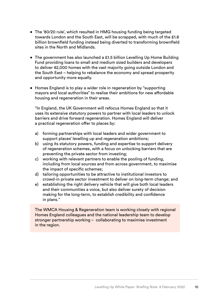- The '80/20 rule', which resulted in HMG housing funding being targeted towards London and the South East, will be scrapped, with much of the £1.8 billion brownfield funding instead being diverted to transforming brownfield sites in the North and Midlands.
- The government has also launched a £1.5 billion Levelling Up Home Building Fund providing loans to small and medium sized builders and developers to deliver 42,000 homes with the vast majority going outside London and the South East – helping to rebalance the economy and spread prosperity and opportunity more equally.
- Homes England is to play a wider role in regeneration by "supporting mayors and local authorities" to realise their ambitions for new affordable housing and regeneration in their areas.

"In England, the UK Government will refocus Homes England so that it uses its extensive statutory powers to partner with local leaders to unlock barriers and drive forward regeneration. Homes England will deliver a practical regeneration offer to places by:

- a) forming partnerships with local leaders and wider government to support places' levelling up and regeneration ambitions;
- b) using its statutory powers, funding and expertise to support delivery of regeneration schemes, with a focus on unlocking barriers that are preventing the private sector from investing;
- c) working with relevant partners to enable the pooling of funding, including from local sources and from across government, to maximise the impact of specific schemes;
- d) tailoring opportunities to be attractive to institutional investors to crowd-in private sector investment to deliver on long-term change; and
- e) establishing the right delivery vehicle that will give both local leaders and their communities a voice, but also deliver surety of decision making for the long-term, to establish credibility and confidence in plans."

The WMCA Housing & Regeneration team is working closely with regional Homes England colleagues and the national leadership team to develop stronger partnership working – collaborating to maximise investment in the region.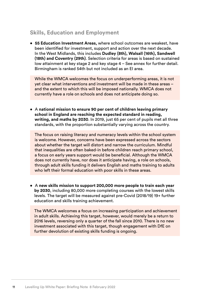## **Skills, Education and Employment**

• **55 Education Investment Areas,** where school outcomes are weakest, have been identified for investment, support and action over the next decade. In the West Midlands, this includes **Dudley (8th), Walsall (16th), Sandwell (18th) and Coventry (29th)**. Selection criteria for areas is based on sustained low attainment at key stage 2 and key stage 4 – See annex for further detail. Birmingham is ranked 54th but not included as an EI area.

While the WMCA welcomes the focus on underperforming areas, it is not yet clear what interventions and investment will be made in these areas – and the extent to which this will be imposed nationally. WMCA does not currently have a role on schools and does not anticipate doing so.

• A **national mission to ensure 90 per cent of children leaving primary school in England are reaching the expected standard in reading, writing, and maths by 2030**. In 2019, just 65 per cent of pupils met all three standards, with the proportion substantially varying across the country.

The focus on raising literacy and numeracy levels within the school system is welcome. However, concerns have been expressed across the sectors about whether the target will distort and narrow the curriculum. Mindful that inequalities are often baked-in before children reach primary school, a focus on early years support would be beneficial. Although the WMCA does not currently have, nor does it anticipate having, a role on schools, through adult skills funding it delivers English and maths training to adults who left their formal education with poor skills in these areas.

• A **new skills mission to support 200,000 more people to train each year by 2030**, including 80,000 more completing courses with the lowest skills levels. The target will be measured against pre-Covid (2018/19) 19+ further education and skills training achievement.

The WMCA welcomes a focus on increasing participation and achievement in adult skills. Achieving this target, however, would merely be a return to 2016 levels, reversing only a quarter of the fall since 2010. There is no new investment associated with this target, though engagement with DfE on further devolution of existing skills funding is ongoing.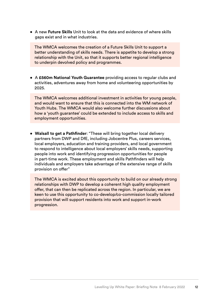• A new **Future Skills** Unit to look at the data and evidence of where skills gaps exist and in what industries.

The WMCA welcomes the creation of a Future Skills Unit to support a better understanding of skills needs. There is appetite to develop a strong relationship with the Unit, so that it supports better regional intelligence to underpin devolved policy and programmes.

• A **£560m National Youth Guarantee** providing access to regular clubs and activities, adventures away from home and volunteering opportunities by 2025.

The WMCA welcomes additional investment in activities for young people, and would want to ensure that this is connected into the WM network of Youth Hubs. The WMCA would also welcome further discussions about how a 'youth guarantee' could be extended to include access to skills and employment opportunities.

• **Walsall to get a Pathfinder**: "These will bring together local delivery partners from DWP and DfE, including Jobcentre Plus, careers services, local employers, education and training providers, and local government to respond to intelligence about local employers' skills needs, supporting people into work and identifying progression opportunities for people in part-time work. These employment and skills Pathfinders will help individuals and employers take advantage of the extensive range of skills provision on offer"

The WMCA is excited about this opportunity to build on our already strong relationships with DWP to develop a coherent high quality employment offer, that can then be replicated across the region. In particular, we are keen to use this opportunity to co-develop/co-commission locally tailored provision that will support residents into work and support in-work progression.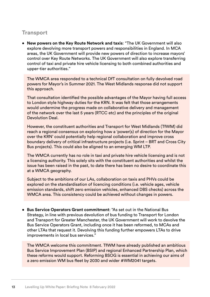## **Transport**

• **New powers on the Key Route Network and taxis**: "The UK Government will also explore devolving more transport powers and responsibilities in England. In MCA areas, the UK Government will provide new powers of direction to increase mayors' control over Key Route Networks. The UK Government will also explore transferring control of taxi and private hire vehicle licensing to both combined authorities and upper-tier authorities."

The WMCA area responded to a technical DfT consultation on fully devolved road powers for Mayor's in Summer 2021. The West Midlands response did not support this approach.

That consultation identified the possible advantages of the Mayor having full access to London style highway duties for the KRN. It was felt that those arrangements would undermine the progress made on collaborative delivery and management of the network over the last 5 years (RTCC etc) and the principles of the original Devolution Deal.

However, the constituent authorities and Transport for West Midlands (TfWM) did reach a regional consensus on exploring how a 'power(s) of direction for the Mayor over the KRN' could potentially help regional collaboration and improve cross boundary delivery of critical infrastructure projects (i.e. Sprint – BRT and Cross City Bus projects). This could also be aligned to an emerging WM LTP.

The WMCA currently has no role in taxi and private hire vehicle licensing and is not a licensing authority. This solely sits with the constituent authorities and whilst the issue has been raised in the past, to date there has been no desire to coordinate this at a WMCA geography.

Subject to the ambitions of our LAs, collaboration on taxis and PHVs could be explored on the standardisation of licencing conditions (i.e. vehicle ages, vehicle emission standards, shift zero emission vehicles, enhanced DBS checks) across the WMCA area. This consistency could be achieved without changes in powers.

• **Bus Service Operators Grant commitment**: "As set out in the National Bus Strategy, in line with previous devolution of bus funding to Transport for London and Transport for Greater Manchester, the UK Government will work to devolve the Bus Service Operators Grant, including once it has been reformed, to MCAs and other LTAs that request it. Devolving this funding further empowers LTAs to drive improvements in local bus services."

The WMCA welcome this commitment. TfWM have already published an ambitious Bus Service Improvement Plan (BSIP) and regional Enhanced Partnership Plan, which these reforms would support. Reforming BSOG is essential in achieving our aims of a zero emission WM bus fleet by 2030 and wider #WM2041 targets.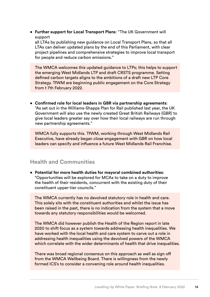• **Further support for Local Transport Plans**: "The UK Government will support

all LTAs by publishing new guidance on Local Transport Plans, so that all LTAs can deliver updated plans by the end of this Parliament, with clear project pipelines and comprehensive strategies to improve local transport for people and reduce carbon emissions."

The WMCA welcomes this updated guidance to LTPs; this helps to support the emerging West Midlands LTP and draft CRSTS programme. Setting defined carbon targets aligns to the ambitions of a draft new LTP Core Strategy. TfWM are beginning public engagement on the Core Strategy from t 7th February 2022.

• **Confirmed role for local leaders in GBR via partnership agreements**: "As set out in the Williams-Shapps Plan for Rail published last year, the UK Government will also use the newly created Great British Railways (GBR) to give local leaders greater say over how their local railways are run through new partnership agreements."

WMCA fully supports this. TfWM, working through West Midlands Rail Executive, have already began close engagement with GBR on how local leaders can specify and influence a future West Midlands Rail Franchise.

## **Health and Communities**

• **Potential for more health duties for mayoral combined authorities**: "Opportunities will be explored for MCAs to take on a duty to improve the health of their residents, concurrent with the existing duty of their constituent upper-tier councils."

The WMCA currently has no devolved statutory role in health and care. This solely sits with the constituent authorities and whilst the issue has been raised in the past, there is no indication from the system that a move towards any statutory responsibilities would be welcomed.

The WMCA did however publish the Health of the Region report in late 2020 to shift focus as a system towards addressing health inequalities. We have worked with the local health and care system to carve out a role in addressing health inequalities using the devolved powers of the WMCA which correlate with the wider determinants of health that drive inequalities.

There was broad regional consensus on this approach as well as sign off from the WMCA Wellbeing Board. There is willingness from the newly formed ICS's to consider a convening role around health inequalities.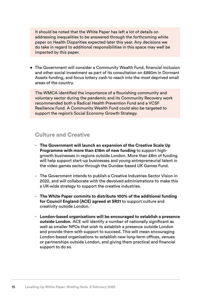It should be noted that the White Paper has left a lot of details on addressing inequalities to be answered through the forthcoming white paper on Health Disparities expected later this year. Any decisions we do take in regard to additional responsibilities in this space may well be impacted by this paper.

• The Government will consider a Community Wealth Fund, financial inclusion and other social investment as part of its consultation on £880m in Dormant Assets funding, and focus lottery cash to reach into the most deprived small areas of the country.

The WMCA identified the importance of a flourishing community and voluntary sector during the pandemic and its Community Recovery work recommended both a Radical Health Prevention Fund and a VCSF Resilience Fund. A Community Wealth Fund could also be targeted to support the region's Social Economy Growth Strategy.

#### **Culture and Creative**

- **The Government will launch an expansion of the Creative Scale Up Programme with more than £18m of new funding** to support highgrowth businesses in regions outside London. More than £8m of funding will help support start-up businesses and young entrepreneurial talent in the video games sector through the Dundee-based UK Games Fund.
- The Government intends to publish a Creative Industries Sector Vision in 2022, and will collaborate with the devolved administrations to make this a UK-wide strategy to support the creative industries.
- **The White Paper commits to distribute 100% of the additional funding for Council England (ACE) agreed at SR21** to support culture and creativity outside London.
- **London-based organisations will be encouraged to establish a presence outside London**. ACE will identify a number of nationally significant as well as smaller NPOs that wish to establish a presence outside London and provide them with support to succeed. This will mean encouraging London-based organisations to establish new long-term offices, venues or partnerships outside London, and giving them practical and financial support to do so.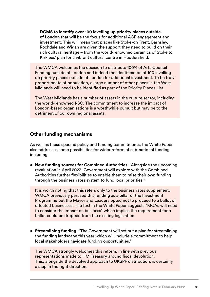- **DCMS to identify over 100 levelling up priority places outside of London** that will be the focus for additional ACE engagement and investment. This will mean that places like Stoke-on Trent, Barnsley, Rochdale and Wigan are given the support they need to build on their rich cultural heritage – from the world-renowned ceramics of Stoke to Kirklees' plan for a vibrant cultural centre in Huddersfield.

The WMCA welcomes the decision to distribute 100% of Arts Council Funding outside of London and indeed the identification of 100 levelling up priority places outside of London for additional investment. To be truly proportionate of population, a large number of other places in the West Midlands will need to be identified as part of the Priority Places List.

The West Midlands has a number of assets in the culture sector, including the world-renowned RSC. The commitment to increase the impact of London-based organisations is a worthwhile pursuit but may be to the detriment of our own regional assets.

#### **Other funding mechanisms**

As well as these specific policy and funding commitments, the White Paper also addresses some possibilities for wider reform of sub-national funding including:

• **New funding sources for Combined Authorities**: "Alongside the upcoming revaluation in April 2023, Government will explore with the Combined Authorities further flexibilities to enable them to raise their own funding through the business rates system to fund local priorities."

It is worth noting that this refers only to the business rates supplement. WMCA previously perused this funding as a pillar of the Investment Programme but the Mayor and Leaders opted not to proceed to a ballot of effected businesses. The text in the White Paper suggests "MCAs will need to consider the impact on business" which implies the requirement for a ballot could be dropped from the existing legislation.

• **Streamlining funding**. "The Government will set out a plan for streamlining the funding landscape this year which will include a commitment to help local stakeholders navigate funding opportunities."

The WMCA strongly welcomes this reform, in line with previous representations made to HM Treasury around fiscal devolution. This, alongside the devolved approach to UKSPF distribution, is certainly a step in the right direction.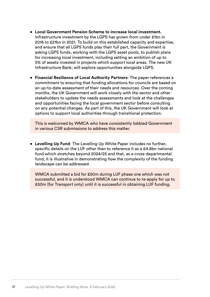- **Local Government Pension Scheme to increase local investment.** Infrastructure investment by the LGPS has grown from under £1bn in 2016 to £21bn in 2021. To build on this established capacity and expertise, and ensure that all LGPS funds play their full part, the Government is asking LGPS funds, working with the LGPS asset pools, to publish plans for increasing local investment, including setting an ambition of up to 5% of assets invested in projects which support local areas. The new UK Infrastructure Bank, will explore opportunities alongside LGPS.
- **Financial Resilience of Local Authority Partners**: The paper references a commitment to ensuring that funding allocations for councils are based on an up-to-date assessment of their needs and resources. Over the coming months, the UK Government will work closely with the sector and other stakeholders to update the needs assessments and look at the challenges and opportunities facing the local government sector before consulting on any potential changes. As part of this, the UK Government will look at options to support local authorities through transitional protection.

This is welcomed by WMCA who have consistently lobbied Government in various CSR submissions to address this matter.

• **Levelling Up Fund**: The Levelling Up White Paper includes no further, specific details on the LUF other than to reference it as a £4.8bn national fund which stretches beyond 2024/25 and that, as a cross-departmental fund, it is illustrative in demonstrating how the complexity of the funding landscape can be addressed.

WMCA submitted a bid for £50m during LUF phase one which was not successful, and it is understood WMCA can continue to re-apply for up to £50m (for Transport only) until it is successful in obtaining LUF funding.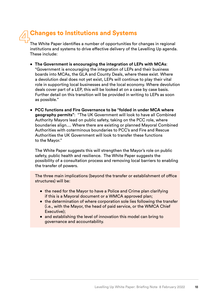# **Changes to Institutions and Systems 4**

The White Paper identifies a number of opportunities for changes in regional institutions and systems to drive effective delivery of the Levelling Up agenda. These include:

- **The Government is encouraging the integration of LEPs with MCAs**: "Government is encouraging the integration of LEPs and their business boards into MCAs, the GLA and County Deals, where these exist. Where a devolution deal does not yet exist, LEPs will continue to play their vital role in supporting local businesses and the local economy. Where devolution deals cover part of a LEP, this will be looked at on a case by case basis. Further detail on this transition will be provided in writing to LEPs as soon as possible."
- **PCC functions and Fire Governance to be "folded in under MCA where geography permits"**: "The UK Government will look to have all Combined Authority Mayors lead on public safety, taking on the PCC role, where boundaries align.... Where there are existing or planned Mayoral Combined Authorities with coterminous boundaries to PCC's and Fire and Rescue Authorities the UK Government will look to transfer these functions to the Mayor."

The White Paper suggests this will strengthen the Mayor's role on public safety, public health and resilience. The White Paper suggests the possibility of a consultation process and removing local barriers to enabling the transfer of powers.

The three main implications (beyond the transfer or establishment of office structures) will be:

- the need for the Mayor to have a Police and Crime plan clarifying if this is a Mayoral document or a WMCA approved plan;
- the determination of where corporation sole lies following the transfer (i.e., with the Mayor, the head of paid service, or the WMCA Chief Executive);
- and establishing the level of innovation this model can bring to governance and accountability.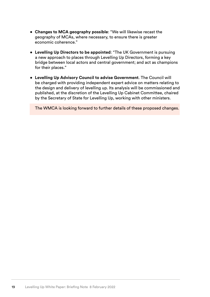- **Changes to MCA geography possible**: "We will likewise recast the geography of MCAs, where necessary, to ensure there is greater economic coherence."
- **Levelling Up Directors to be appointed**: "The UK Government is pursuing a new approach to places through Levelling Up Directors, forming a key bridge between local actors and central government; and act as champions for their places."
- **Levelling Up Advisory Council to advise Government**. The Council will be charged with providing independent expert advice on matters relating to the design and delivery of levelling up. Its analysis will be commissioned and published, at the discretion of the Levelling Up Cabinet Committee, chaired by the Secretary of State for Levelling Up, working with other ministers.

The WMCA is looking forward to further details of these proposed changes.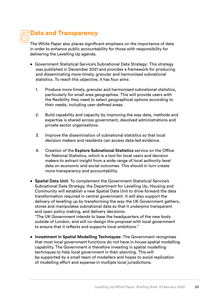# **5**

## **Data and Transparency**

The White Paper also places significant emphasis on the importance of data in order to enhance public accountability for those with responsibility for delivering the Levelling Up agenda.

- Government Statistical Service's Subnational Data Strategy: This strategy was published in December 2021 and provides a framework for producing and disseminating more timely, granular and harmonised subnational statistics. To reach this objective, it has four aims:
	- 1. Produce more timely, granular and harmonised subnational statistics, particularly for small area geographies. This will provide users with the flexibility they need to select geographical options according to their needs, including user-defined areas.
	- 2. Build capability and capacity by improving the way data, methods and expertise is shared across government, devolved administrations and private sector organisations.
	- 3. Improve the dissemination of subnational statistics so that local decision makers and residents can access data-led evidence.
	- 4. Creation of the **Explore Subnational Statistics** service on the Office for National Statistics, which is a tool for local users and decision makers to extract insight from a wide range of local authority level data on economic and social outcomes. This should in turn create more transparency and accountability.
- **Spatial Data Unit**: To complement the Government Statistical Service's Subnational Data Strategy, the Department for Levelling Up, Housing and Community will establish a new Spatial Data Unit to drive forward the data transformation required in central government. It will also support the delivery of levelling up by transforming the way the UK Government gathers, stores and manipulates subnational data so that it underpins transparent and open policy making, and delivery decisions.

"The UK Government intends to base the headquarters of the new body outside of London, and will co-design this proposal with local government to ensure that it reflects and supports local ambitions."

• **Investment in Spatial Modelling Techniques**: The Government recognises that most local government functions do not have in-house spatial modelling capability. The Government is therefore investing in spatial modelling techniques to help local government in their planning. This will be supported by a small team of modellers and hopes to avoid replication of modelling effort and expense in multiple local jurisdictions.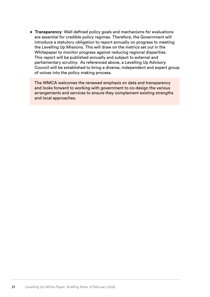• **Transparency**: Well defined policy goals and mechanisms for evaluations are essential for credible policy regimes. Therefore, the Government will introduce a statutory obligation to report annually on progress to meeting the Levelling Up Missions. This will draw on the metrics set out in the Whitepaper to monitor progress against reducing regional disparities. This report will be published annually and subject to external and parliamentary scrutiny. As referenced above, a Levelling Up Advisory Council will be established to bring a diverse, independent and expert group of voices into the policy making process.

The WMCA welcomes the renewed emphasis on data and transparency and looks forward to working with government to co-design the various arrangements and services to ensure they complement existing strengths and local approaches.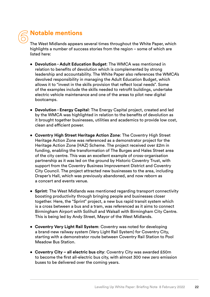6 **1** 

# **Notable mentions**

The West Midlands appears several times throughout the White Paper, which highlights a number of success stories from the region – some of which are listed here:

- **Devolution Adult Education Budget**: The WMCA was mentioned in relation to benefits of devolution which is complemented by strong leadership and accountability. The White Paper also references the WMCA's devolved responsibility in managing the Adult Education Budget, which allows it to "invest in the skills provision that reflect local needs". Some of the examples include the skills needed to retrofit buildings, undertake electric vehicle maintenance and one of the areas to pilot new digital bootcamps.
- **Devolution Energy Capital**: The Energy Capital project, created and led by the WMCA was highlighted in relation to the benefits of devolution as it brought together businesses, utilities and academics to provide low cost, clean and efficient power.
- **Coventry High Street Heritage Action Zone**: The Coventry High Street Heritage Action Zone was referenced as a demonstrator project for the Heritage Action Zone (HAZ) Scheme. The project received over £2m in funding, enabling the transformation of The Burges and Hales Street area of the city centre. This was an excellent example of cross-organisation partnership as it was led on the ground by Historic Coventry Trust, with support from the Coventry Business Improvement District and Coventry City Council. The project attracted new businesses to the area, including Draper's Hall, which was previously abandoned, and now reborn as a concert and events venue.
- **Sprint**: The West Midlands was mentioned regarding transport connectivity boosting productivity through bringing people and businesses closer together. Here, the "Sprint" project, a new bus rapid transit system which is a cross between a bus and a tram, was referenced as it aims to connect Birmingham Airport with Solihull and Walsall with Birmingham City Centre. This is being led by Andy Street, Mayor of the West Midlands.
- **Coventry Very Light Rail System**: Coventry was noted for developing a brand-new railway system (Very Light Rail System) for Coventry City, starting with a demonstrator route between Coventry Rail Station to Pool Meadow Bus Station.
- **Coventry City all electric bus city**: Coventry City was awarded £50m to become the first all-electric bus city, with almost 300 new zero emission buses to be delivered over the coming years.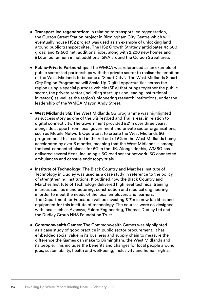- **Transport-led regeneration**: In relation to transport-led regeneration, the Curzon Street Station project in Birmingham City Centre which will eventually house HS2 project was used as an example of unlocking land around public transport sites. The HS2 Growth Strategy anticipates 43,600 gross, and 19,600 net, additional jobs, along with 2,200 new homes and £1.6bn per annum in net additional GVA around the Curzon Street area.
- **Public-Private Partnerships**: The WMCA was referenced as an example of public sector-led partnerships with the private sector to realise the ambition of the West Midlands to become a "Smart City". The West Midlands Smart City Region Programme will Scale-Up Digital opportunities across the region using a special purpose vehicle (SPV) that brings together the public sector, the private sector (including start-ups and leading institutional investors) as well as the region's pioneering research institutions, under the leadership of the WMCA Mayor, Andy Street.
- **West Midlands 5G**: The West Midlands 5G programme was highlighted as success story as one of the 5G Testbed and Trail areas, in relation to digital connectivity. The Government provided £21m over three years, alongside support from local government and private sector organisations, such as Mobile Network Operators, to create the West Midlands 5G programme. This resulted in the roll out of 5G in the West Midlands being accelerated by over 6 months, meaning that the West Midlands is among the best-connected places for 5G in the UK. Alongside this, WM5G has delivered several firsts, including a 5G road sensor network, 5G connected ambulances and capsule endoscopy trials.
- **Institute of Technology**: The Black Country and Marches Institute of Technology in Dudley was used as a case study in reference to the policy of strengthening institutions. It outlined how the Black Country and Marches Institute of Technology delivered high level technical training in areas such as manufacturing, construction and medical engineering in order to meet the needs of the local employers and learners. The Department for Education will be investing £17m in new facilities and equipment for this institute of technology. The courses were co-designed with local such as Avensys, Fulcro Engineering, Thomas Dudley Ltd and the Dudley Group NHS Foundation Trust.
- **Commonwealth Games**: The Commonwealth Games was highlighted as a case study of good practice in public sector procurement. It has embedded social value in its business and supply chain to measure the difference the Games can make to Birmingham, the West Midlands and its people. This includes the benefits and changes for local people around jobs, sustainability, health and well-being, inclusivity and human rights.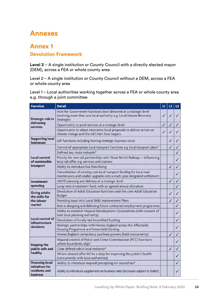# **Annexes**

## **Annex 1**

#### **Devolution Framework**

**Level 3** – A single institution or County Council with a directly elected mayor (DEM), across a FEA or whole county area

Level 2 – A single institution or County Council without a DEM, across a FEA or whole county area

Level 1 – Local authorities working together across a FEA or whole county area e.g. through a joint committee

| <b>Function</b>                                     | <b>Detail</b>                                                                                                                                                | и | 2 | L3 |
|-----------------------------------------------------|--------------------------------------------------------------------------------------------------------------------------------------------------------------|---|---|----|
| <b>Strategic role in</b>                            | Host for Government functions best delivered at a strategic level<br>involving more than one local authority e.g. Local Nature Recovery<br><b>Strategies</b> | ✓ | ✓ |    |
| delivering<br>services                              | Opportunity to pool services at a strategic level                                                                                                            | ✓ |   | ✓  |
|                                                     | Opportunity to adopt innovative local proposals to deliver action on<br>climate change and the UK's Net Zero targets                                         | ✓ | ✓ |    |
| <b>Supporting local</b><br><b>businesses</b>        | LEP functions including hosting strategic business voice                                                                                                     |   | ✓ | ✓  |
|                                                     | Control of appropriate local transport functions e.g. local transport plans*                                                                                 |   | ✓ | ✓  |
|                                                     | Defined key route network*                                                                                                                                   |   |   | ✓  |
| <b>Local control</b><br>of sustainable              | Priority for new rail partnerships with Great British Railways - influencing<br>local rail offer, e.g. services and stations                                 |   |   | ✓  |
| transport                                           | Ability to introduce bus franchising                                                                                                                         |   | ✓ | ✓  |
|                                                     | Consolidation of existing core local transport funding for local road<br>maintenance and smaller upgrades into a multi-year integrated settlement            |   |   | ✓  |
| <b>Investment</b>                                   | UKSPF planning and delivery at a strategic level                                                                                                             |   | ✓ | ✓  |
| spending                                            | Long-term investment fund, with an agreed annual allocation                                                                                                  |   |   | v  |
| <b>Giving adults</b><br>the skills for              | Devolution of Adult Education functions and the core Adult Education<br><b>Budget</b>                                                                        |   | ✓ | V  |
| the labour                                          | Providing input into Local Skills Improvement Plans                                                                                                          |   | J | ✓  |
| market                                              | Role in designing and delivering future contracted employment programmes                                                                                     |   |   | J  |
|                                                     | Ability to establish Mayoral Development Corporations (with consent of<br>host local planning authority)                                                     |   |   | ✓  |
| Local control of<br><b>infrastructure</b>           | Devolution of locally-led brownfield funding                                                                                                                 |   |   | ✓  |
| decisions                                           | Strategic partnerships with Homes England across the Affordable<br>Housing Programme and brownfield funding                                                  |   |   | ✓  |
|                                                     | Homes England compulsory purchase powers (held concurrently)                                                                                                 |   | ✓ | ✓  |
| <b>Keeping the</b><br>public safe and<br>healthy    | Mayoral control of Police and Crime Commissioner (PCC) functions<br>where boundaries align^                                                                  |   |   | ✓  |
|                                                     | Clear defined role in local resilience*                                                                                                                      |   | ✓ | ✓  |
|                                                     | Where desired offer MCAs a duty for improving the public's health<br>(concurrently with local authorities)                                                   |   |   | ✓  |
| <b>Financing local</b>                              | Ability to introduce mayoral precepting on council tax*                                                                                                      |   |   | ✓  |
| initiatives for<br>residents and<br><b>business</b> | Ability to introduce supplement on business rates (increases subject to ballot)                                                                              |   |   | ✓  |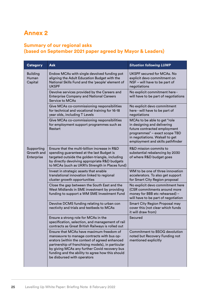# **Annex 2**

### **Summary of our regional asks (based on September 2021 paper agreed by Mayor & Leaders)**

| <b>Category</b>                        | <b>Ask</b>                                                                                                                                                                                                                                                                                                                        | <b>Situation following LUWP</b>                                                                                                                                                                     |
|----------------------------------------|-----------------------------------------------------------------------------------------------------------------------------------------------------------------------------------------------------------------------------------------------------------------------------------------------------------------------------------|-----------------------------------------------------------------------------------------------------------------------------------------------------------------------------------------------------|
| <b>Building</b><br>Human<br>Capital    | Endow MCAs with single devolved funding pot<br>aligning the Adult Education Budget with the<br>National Skills Fund and the 'people' element of<br><b>UKSPF</b>                                                                                                                                                                   | UKSPF secured for MCAs. No<br>explicit devo commitment on<br>NSF - will have to be part of<br>negotiations                                                                                          |
|                                        | Devolve services provided by the Careers and<br><b>Enterprise Company and National Careers</b><br><b>Service to MCAs</b>                                                                                                                                                                                                          | No explicit commitment here -<br>will have to be part of negotiations                                                                                                                               |
|                                        | Give MCAs co-commissioning responsibilities<br>for technical and vocational training for 16-18<br>year olds, including T Levels                                                                                                                                                                                                   | No explicit devo commitment<br>here - will have to be part of<br>negotiations                                                                                                                       |
|                                        | Give MCAs co-commissioning responsibilities<br>for employment support programmes such as<br>Restart                                                                                                                                                                                                                               | MCAs to be able to get "role<br>in designing and delivering<br>future contracted employment<br>programmes" - exact scope TBD<br>in negotiations. Walsall to get<br>employment and skills pathfinder |
| Supporting<br>Growth and<br>Enterprise | Ensure that the multi-billion increase in R&D<br>spending guaranteed at the last Budget is<br>targeted outside the golden-triangle, including<br>by directly devolving appropriate R&D budgets<br>to MCAs (such as UKRI's Strength in Places fund)                                                                                | R&D mission commits to<br>substantial rebalancing by 2030<br>of where R&D budget goes                                                                                                               |
|                                        | Invest in strategic assets that enable<br>translational innovation linked to regional<br>cluster growth opportunities                                                                                                                                                                                                             | WM to be one of three innovation<br>accelerators. To also get support<br>for Smart City Region proposal                                                                                             |
|                                        | Close the gap between the South East and the<br>West Midlands in SME investment by providing<br>funding to support a WM SME Investment Fund                                                                                                                                                                                       | No explicit devo commitment here<br>(CSR commitments around more<br>money for BBB etc rehearsed) -<br>will have to be part of negotiation                                                           |
|                                        | Devolve DCMS funding relating to urban con<br>nectivity and trials and testbeds to MCAs                                                                                                                                                                                                                                           | Smart City Region Proposal may<br>cover this (not clear which funds<br>it will draw from)                                                                                                           |
|                                        | Ensure a strong role for MCAs in the<br>specification, selection, and management of rail<br>contracts as Great British Railways is rolled out                                                                                                                                                                                     | Secured                                                                                                                                                                                             |
|                                        | Ensure that MCAs have maximum freedom of<br>manoeuvre to manage contracts with bus op-<br>erators (within the context of agreed enhanced<br>partnership of franchising models), in particular<br>by giving MCAs any further Covid recovery bus<br>funding and the ability to agree how this should<br>be disbursed with operators | <b>Commitment to BSOG devolution</b><br>noted but Recovery Funding not<br>mentioned explicitly                                                                                                      |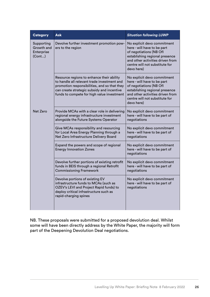| <b>Category</b>                                  | <b>Ask</b>                                                                                                                                                                                                                           | <b>Situation following LUWP</b>                                                                                                                                                                             |
|--------------------------------------------------|--------------------------------------------------------------------------------------------------------------------------------------------------------------------------------------------------------------------------------------|-------------------------------------------------------------------------------------------------------------------------------------------------------------------------------------------------------------|
| Supporting<br>Growth and<br>Enterprise<br>(Cont) | Devolve further investment promotion pow-<br>ers to the region                                                                                                                                                                       | No explicit devo commitment<br>here - will have to be part<br>of negotiations (NB Ofl<br>establishing regional presence<br>and other activities driven from<br>centre will not substitute for<br>devo here) |
|                                                  | Resource regions to enhance their ability<br>to handle all relevant trade investment and<br>promotion responsibilities, and so that they<br>can create strategic subsidy and incentive<br>funds to compete for high value investment | No explicit devo commitment<br>here - will have to be part<br>of negotiations (NB Ofl<br>establishing regional presence<br>and other activities driven from<br>centre will not substitute for<br>devo here) |
| Net Zero                                         | Provide MCAs with a clear role in delivering<br>regional energy infrastructure investment<br>alongside the Future Systems Operator                                                                                                   | No explicit devo commitment<br>here - will have to be part of<br>negotiations                                                                                                                               |
|                                                  | Give MCAs responsibility and resourcing<br>for Local Area Energy Planning through a<br>Net Zero Infrastructure Delivery Board                                                                                                        | No explicit devo commitment<br>here - will have to be part of<br>negotiations                                                                                                                               |
|                                                  | Expand the powers and scope of regional<br><b>Energy Innovation Zones</b>                                                                                                                                                            | No explicit devo commitment<br>here - will have to be part of<br>negotiations                                                                                                                               |
|                                                  | Devolve further portions of existing retrofit<br>funds in BEIS through a regional Retrofit<br><b>Commissioning Framework</b>                                                                                                         | No explicit devo commitment<br>here - will have to be part of<br>negotiations                                                                                                                               |
|                                                  | Devolve portions of existing EV<br>infrastructure funds to MCAs (such as<br>OZEV's LEVI and Project Rapid funds) to<br>deploy critical infrastructure such as<br>rapid-charging spines                                               | No explicit devo commitment<br>here - will have to be part of<br>negotiations                                                                                                                               |

NB. These proposals were submitted for a proposed devolution deal. Whilst some will have been directly address by the White Paper, the majority will form part of the Deepening Devolution Deal negotiations.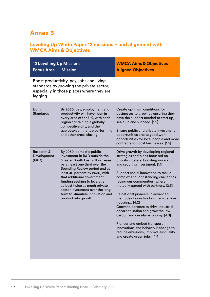# **Annex 3**

## **Leveling Up White Paper 12 missions – and alignment with WMCA Aims & Objectives**

| <b>12 Levelling Up Missions</b>                                                                                                              |                                                                                                                                                                                                                                                                                                                                                                                                         | <b>WMCA Aims &amp; Objectives</b>                                                                                                                                                                                                                                                                                                                                                                                                                                                                                                                                                                                                                                         |
|----------------------------------------------------------------------------------------------------------------------------------------------|---------------------------------------------------------------------------------------------------------------------------------------------------------------------------------------------------------------------------------------------------------------------------------------------------------------------------------------------------------------------------------------------------------|---------------------------------------------------------------------------------------------------------------------------------------------------------------------------------------------------------------------------------------------------------------------------------------------------------------------------------------------------------------------------------------------------------------------------------------------------------------------------------------------------------------------------------------------------------------------------------------------------------------------------------------------------------------------------|
| <b>Focus Area</b>                                                                                                                            | <b>Mission</b>                                                                                                                                                                                                                                                                                                                                                                                          | <b>Aligned Objectives</b>                                                                                                                                                                                                                                                                                                                                                                                                                                                                                                                                                                                                                                                 |
| Boost productivity, pay, jobs and living<br>standards by growing the private sector,<br>especially in those places where they are<br>lagging |                                                                                                                                                                                                                                                                                                                                                                                                         |                                                                                                                                                                                                                                                                                                                                                                                                                                                                                                                                                                                                                                                                           |
| Living<br><b>Standards</b>                                                                                                                   | By 2030, pay, employment and<br>productivity will have risen in<br>every area of the UK, with each<br>region containing a globally<br>competitive city, and the<br>gap between the top performing<br>and other areas closing.                                                                                                                                                                           | Create optimum conditions for<br>businesses to grow, by ensuring they<br>have the support needed to start up,<br>scale up and succeed. [1.2]<br>Ensure public and private investment<br>opportunities create good work<br>opportunities for local people and more<br>contracts for local businesses. [1.5]                                                                                                                                                                                                                                                                                                                                                                |
| Research &<br>Development<br>(R&D)                                                                                                           | By 2030, domestic public<br>investment in R&D outside the<br><b>Greater South East will increase</b><br>by at least one third over the<br>Spending Review period and at<br>least 40 percent by 2030, with<br>that additional government<br>funding seeking to leverage<br>at least twice as much private<br>sector investment over the long<br>term to stimulate innovation and<br>productivity growth. | Drive growth by developing regional<br>strategies and plans focussed on<br>priority clusters, boosting innovation,<br>and securing investment. [1.1]<br>Support social innovation to tackle<br>complex and longstanding challenges<br>facing our communities, where<br>mutually agreed with partners. [2.3]<br>Be national pioneers in advanced<br>methods of construction, zero carbon<br>housing [4.2]<br>Convene partners to drive industrial<br>decarbonisation and grow the low<br>carbon and circular economy. [4.3]<br>Pioneer and embed transport<br>innovations and behaviour change to<br>reduce emissions, improve air quality<br>and create green jobs. [4.4] |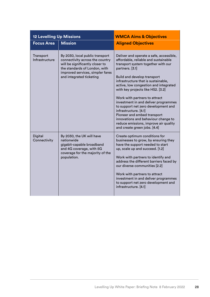| <b>12 Levelling Up Missions</b> |                                                                                                                                                                                                        | <b>WMCA Aims &amp; Objectives</b>                                                                                                                                                                                                                                                                                                                                                                                                                                                                                                                                                    |
|---------------------------------|--------------------------------------------------------------------------------------------------------------------------------------------------------------------------------------------------------|--------------------------------------------------------------------------------------------------------------------------------------------------------------------------------------------------------------------------------------------------------------------------------------------------------------------------------------------------------------------------------------------------------------------------------------------------------------------------------------------------------------------------------------------------------------------------------------|
| <b>Focus Area</b>               | <b>Mission</b>                                                                                                                                                                                         | <b>Aligned Objectives</b>                                                                                                                                                                                                                                                                                                                                                                                                                                                                                                                                                            |
| Transport<br>Infrastructure     | By 2030, local public transport<br>connectivity across the country<br>will be significantly closer to<br>the standards of London, with<br>improved services, simpler fares<br>and integrated ticketing | Deliver and operate a safe, accessible,<br>affordable, reliable and sustainable<br>transport system together with our<br>partners. [3.1]<br>Build and develop transport<br>infrastructure that is sustainable,<br>active, low congestion and integrated<br>with key projects like HS2. [3.2]<br>Work with partners to attract<br>investment in and deliver programmes<br>to support net zero development and<br>infrastructure. [4.1]<br>Pioneer and embed transport<br>innovations and behaviour change to<br>reduce emissions, improve air quality<br>and create green jobs. [4.4] |
| <b>Digital</b><br>Connectivity  | By 2030, the UK will have<br>nationwide<br>gigabit-capable broadband<br>and 4G coverage, with 5G<br>coverage for the majority of the<br>population.                                                    | Create optimum conditions for<br>businesses to grow, by ensuring they<br>have the support needed to start<br>up, scale up and succeed. [1.2]<br>Work with partners to identify and<br>address the different barriers faced by<br>our diverse communities [2.2]<br>Work with partners to attract<br>investment in and deliver programmes<br>to support net zero development and<br>infrastructure. [4.1]                                                                                                                                                                              |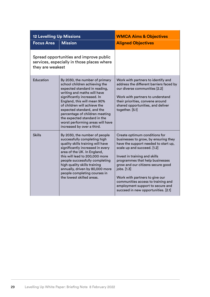| <b>12 Levelling Up Missions</b>                                                                           |                                                                                                                                                                                                                                                                                                                                                                                                 | <b>WMCA Aims &amp; Objectives</b>                                                                                                                                                                                                                                                                                                                                                                                       |
|-----------------------------------------------------------------------------------------------------------|-------------------------------------------------------------------------------------------------------------------------------------------------------------------------------------------------------------------------------------------------------------------------------------------------------------------------------------------------------------------------------------------------|-------------------------------------------------------------------------------------------------------------------------------------------------------------------------------------------------------------------------------------------------------------------------------------------------------------------------------------------------------------------------------------------------------------------------|
| <b>Focus Area</b>                                                                                         | <b>Mission</b>                                                                                                                                                                                                                                                                                                                                                                                  | <b>Aligned Objectives</b>                                                                                                                                                                                                                                                                                                                                                                                               |
| Spread opportunities and improve public<br>services, especially in those places where<br>they are weakest |                                                                                                                                                                                                                                                                                                                                                                                                 |                                                                                                                                                                                                                                                                                                                                                                                                                         |
| Education                                                                                                 | By 2030, the number of primary<br>school children achieving the<br>expected standard in reading,<br>writing and maths will have<br>significantly increased. In<br>England, this will mean 90%<br>of children will achieve the<br>expected standard, and the<br>percentage of children meeting<br>the expected standard in the<br>worst performing areas will have<br>increased by over a third. | Work with partners to identify and<br>address the different barriers faced by<br>our diverse communities [2.2]<br>Work with partners to understand<br>their priorities, convene around<br>shared opportunities, and deliver<br>together. [5.1]                                                                                                                                                                          |
| <b>Skills</b>                                                                                             | By 2030, the number of people<br>successfully completing high<br>quality skills training will have<br>significantly increased in every<br>area of the UK. In England,<br>this will lead to 200,000 more<br>people successfully completing<br>high quality skills training<br>annually, driven by 80,000 more<br>people completing courses in<br>the lowest skilled areas.                       | Create optimum conditions for<br>businesses to grow, by ensuring they<br>have the support needed to start up,<br>scale up and succeed. [1.2]<br>Invest in training and skills<br>programmes that help businesses<br>grow and our citizens secure good<br>jobs. [1.3]<br>Work with partners to give our<br>communities access to training and<br>employment support to secure and<br>succeed in new opportunities. [2.1] |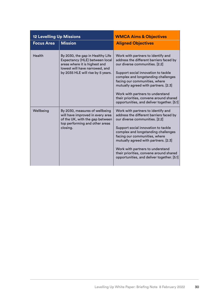| <b>12 Levelling Up Missions</b> |                                                                                                                                                                            | <b>WMCA Aims &amp; Objectives</b>                                                                                                                                                                                                                                                                                                                                                                   |
|---------------------------------|----------------------------------------------------------------------------------------------------------------------------------------------------------------------------|-----------------------------------------------------------------------------------------------------------------------------------------------------------------------------------------------------------------------------------------------------------------------------------------------------------------------------------------------------------------------------------------------------|
| <b>Focus Area</b>               | <b>Mission</b>                                                                                                                                                             | <b>Aligned Objectives</b>                                                                                                                                                                                                                                                                                                                                                                           |
| Health                          | By 2030, the gap in Healthy Life<br>Expectancy (HLE) between local<br>areas where it is highest and<br>lowest will have narrowed, and<br>by 2035 HLE will rise by 5 years. | Work with partners to identify and<br>address the different barriers faced by<br>our diverse communities. [2.2]<br>Support social innovation to tackle<br>complex and longstanding challenges<br>facing our communities, where<br>mutually agreed with partners. [2.3]<br>Work with partners to understand<br>their priorities, convene around shared<br>opportunities, and deliver together. [5.1] |
| Wellbeing                       | By 2030, measures of wellbeing<br>will have improved in every area<br>of the UK, with the gap between<br>top performing and other areas<br>closing.                        | Work with partners to identify and<br>address the different barriers faced by<br>our diverse communities. [2.2]<br>Support social innovation to tackle<br>complex and longstanding challenges<br>facing our communities, where<br>mutually agreed with partners. [2.3]<br>Work with partners to understand<br>their priorities, convene around shared<br>opportunities, and deliver together. [5.1] |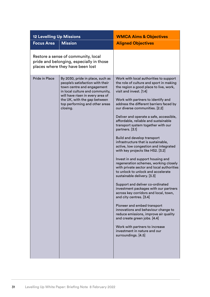| <b>12 Levelling Up Missions</b>                                                                                     |                                                                                                                                                                                                                                                         | <b>WMCA Aims &amp; Objectives</b>                                                                                                                                                                                                                                                                                                                                                                                                                                                                                                                                                                                                                                                                                                                                                                                                                                                                                                                                                                                                                                                                                                                                  |
|---------------------------------------------------------------------------------------------------------------------|---------------------------------------------------------------------------------------------------------------------------------------------------------------------------------------------------------------------------------------------------------|--------------------------------------------------------------------------------------------------------------------------------------------------------------------------------------------------------------------------------------------------------------------------------------------------------------------------------------------------------------------------------------------------------------------------------------------------------------------------------------------------------------------------------------------------------------------------------------------------------------------------------------------------------------------------------------------------------------------------------------------------------------------------------------------------------------------------------------------------------------------------------------------------------------------------------------------------------------------------------------------------------------------------------------------------------------------------------------------------------------------------------------------------------------------|
| <b>Focus Area</b>                                                                                                   | <b>Mission</b>                                                                                                                                                                                                                                          | <b>Aligned Objectives</b>                                                                                                                                                                                                                                                                                                                                                                                                                                                                                                                                                                                                                                                                                                                                                                                                                                                                                                                                                                                                                                                                                                                                          |
| Restore a sense of community, local<br>pride and belonging, especially in those<br>places where they have been lost |                                                                                                                                                                                                                                                         |                                                                                                                                                                                                                                                                                                                                                                                                                                                                                                                                                                                                                                                                                                                                                                                                                                                                                                                                                                                                                                                                                                                                                                    |
| Pride in Place                                                                                                      | By 2030, pride in place, such as<br>people's satisfaction with their<br>town centre and engagement<br>in local culture and community,<br>will have risen in every area of<br>the UK, with the gap between<br>top performing and other areas<br>closing. | Work with local authorities to support<br>the role of culture and sport in making<br>the region a good place to live, work,<br>visit and invest. [1.4]<br>Work with partners to identify and<br>address the different barriers faced by<br>our diverse communities. [2.2]<br>Deliver and operate a safe, accessible,<br>affordable, reliable and sustainable<br>transport system together with our<br>partners. [3.1]<br>Build and develop transport<br>infrastructure that is sustainable,<br>active, low congestion and integrated<br>with key projects like HS2. [3.2]<br>Invest in and support housing and<br>regeneration schemes, working closely<br>with private sector and local authorities<br>to unlock to unlock and accelerate<br>sustainable delivery. [3.3]<br>Support and deliver co-ordinated<br>investment packages with our partners<br>across key corridors and local, town,<br>and city centres. [3.4]<br>Pioneer and embed transport<br>innovations and behaviour change to<br>reduce emissions, improve air quality<br>and create green jobs. [4.4]<br>Work with partners to increase<br>investment in nature and our<br>surroundings. [4.5] |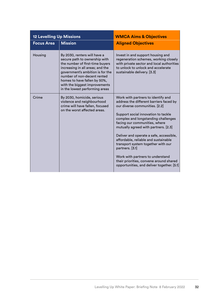| <b>12 Levelling Up Missions</b> |                                                                                                                                                                                                                                                                                                            | <b>WMCA Aims &amp; Objectives</b>                                                                                                                                                                                                                                                                                                                                                                                                                                                                                                               |
|---------------------------------|------------------------------------------------------------------------------------------------------------------------------------------------------------------------------------------------------------------------------------------------------------------------------------------------------------|-------------------------------------------------------------------------------------------------------------------------------------------------------------------------------------------------------------------------------------------------------------------------------------------------------------------------------------------------------------------------------------------------------------------------------------------------------------------------------------------------------------------------------------------------|
| <b>Focus Area</b>               | <b>Mission</b>                                                                                                                                                                                                                                                                                             | <b>Aligned Objectives</b>                                                                                                                                                                                                                                                                                                                                                                                                                                                                                                                       |
| Housing                         | By 2030, renters will have a<br>secure path to ownership with<br>the number of first-time buyers<br>increasing in all areas; and the<br>government's ambition is for the<br>number of non-decent rented<br>homes to have fallen by 50%,<br>with the biggest improvements<br>in the lowest performing areas | Invest in and support housing and<br>regeneration schemes, working closely<br>with private sector and local authorities<br>to unlock to unlock and accelerate<br>sustainable delivery. [3.3]                                                                                                                                                                                                                                                                                                                                                    |
| Crime                           | By 2030, homicide, serious<br>violence and neighbourhood<br>crime will have fallen, focused<br>on the worst affected areas.                                                                                                                                                                                | Work with partners to identify and<br>address the different barriers faced by<br>our diverse communities. [2.2]<br>Support social innovation to tackle<br>complex and longstanding challenges<br>facing our communities, where<br>mutually agreed with partners. [2.3]<br>Deliver and operate a safe, accessible,<br>affordable, reliable and sustainable<br>transport system together with our<br>partners. [3.1]<br>Work with partners to understand<br>their priorities, convene around shared<br>opportunities, and deliver together. [5.1] |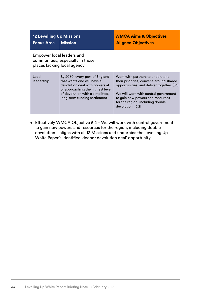| <b>12 Levelling Up Missions</b>                                                              |                                                                                                                                                                                                        | <b>WMCA Aims &amp; Objectives</b>                                                                                                                                                                                                                              |
|----------------------------------------------------------------------------------------------|--------------------------------------------------------------------------------------------------------------------------------------------------------------------------------------------------------|----------------------------------------------------------------------------------------------------------------------------------------------------------------------------------------------------------------------------------------------------------------|
| <b>Focus Area</b>                                                                            | <b>Mission</b>                                                                                                                                                                                         | <b>Aligned Objectives</b>                                                                                                                                                                                                                                      |
| Empower local leaders and<br>communities, especially in those<br>places lacking local agency |                                                                                                                                                                                                        |                                                                                                                                                                                                                                                                |
| Local<br>leadership                                                                          | By 2030, every part of England<br>that wants one will have a<br>devolution deal with powers at<br>or approaching the highest level<br>of devolution with a simplified,<br>long-term funding settlement | Work with partners to understand<br>their priorities, convene around shared<br>opportunities, and deliver together. [5.1]<br>We will work with central government<br>to gain new powers and resources<br>for the region, including double<br>devolution. [5.2] |

• Effectively WMCA Objective 5.2 – We will work with central government to gain new powers and resources for the region, including double devolution – aligns with all 12 Missions and underpins the Levelling Up White Paper's identified 'deeper devolution deal' opportunity.